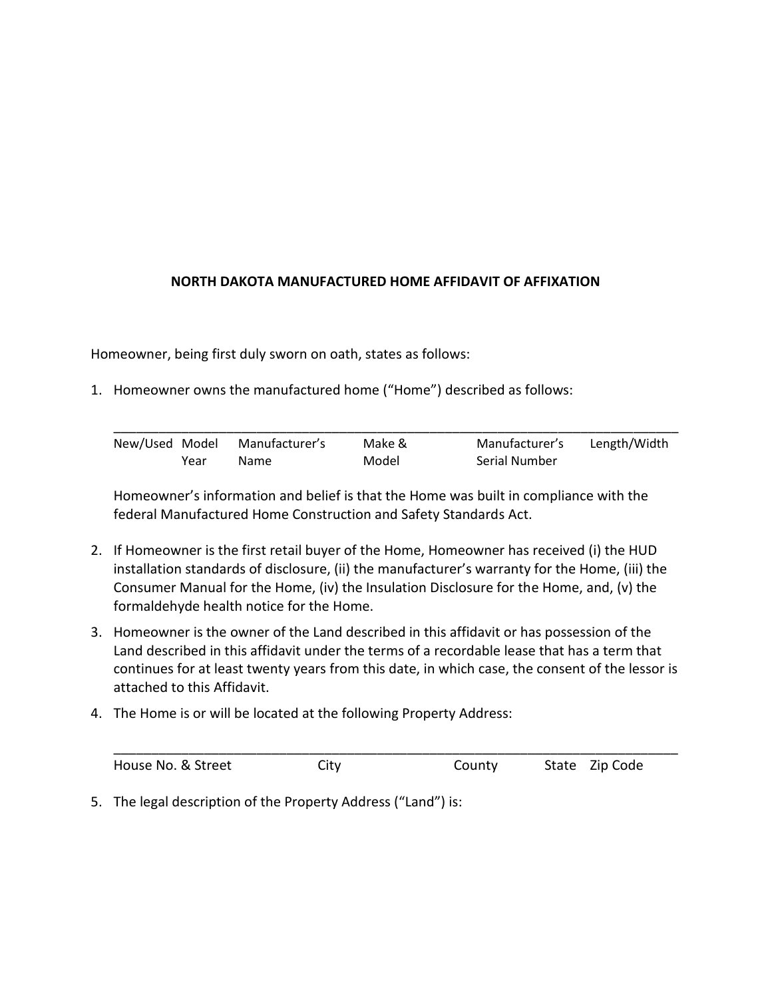## **NORTH DAKOTA MANUFACTURED HOME AFFIDAVIT OF AFFIXATION**

Homeowner, being first duly sworn on oath, states as follows:

1. Homeowner owns the manufactured home ("Home") described as follows:

|      | New/Used Model Manufacturer's | Make & | Manufacturer's | Length/Width |
|------|-------------------------------|--------|----------------|--------------|
| Year | Name.                         | Model  | Serial Number  |              |

Homeowner's information and belief is that the Home was built in compliance with the federal Manufactured Home Construction and Safety Standards Act.

- 2. If Homeowner is the first retail buyer of the Home, Homeowner has received (i) the HUD installation standards of disclosure, (ii) the manufacturer's warranty for the Home, (iii) the Consumer Manual for the Home, (iv) the Insulation Disclosure for the Home, and, (v) the formaldehyde health notice for the Home.
- 3. Homeowner is the owner of the Land described in this affidavit or has possession of the Land described in this affidavit under the terms of a recordable lease that has a term that continues for at least twenty years from this date, in which case, the consent of the lessor is attached to this Affidavit.
- 4. The Home is or will be located at the following Property Address:

| House No. & Street | City | County | State Zip Code |
|--------------------|------|--------|----------------|

5. The legal description of the Property Address ("Land") is: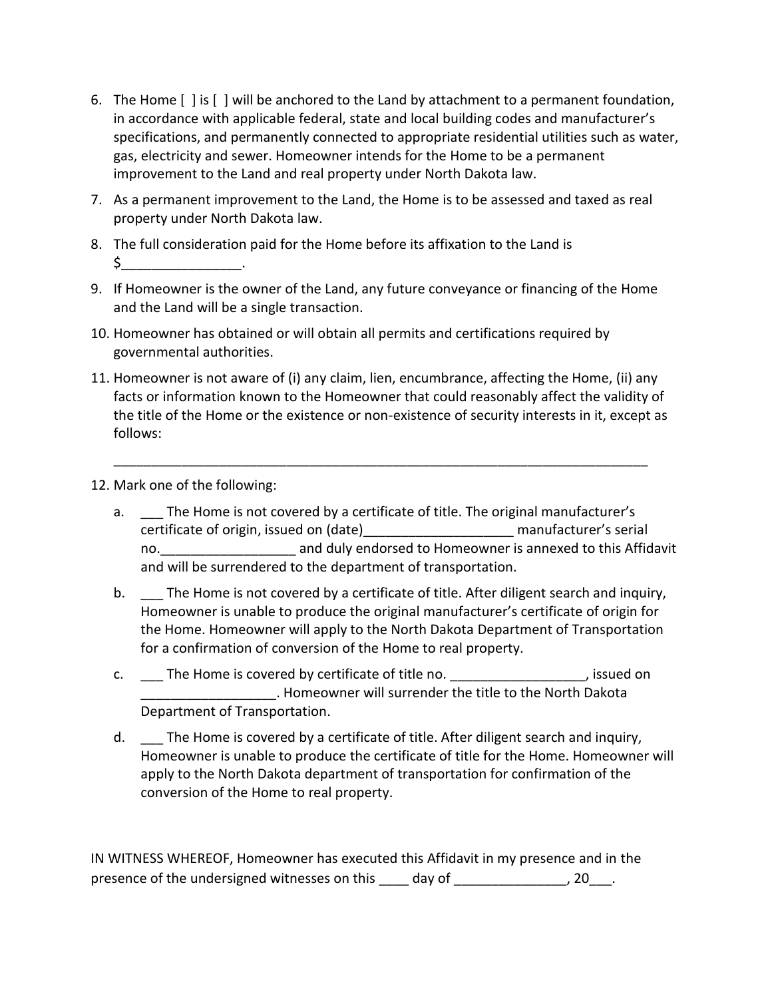- 6. The Home [ ] is [ ] will be anchored to the Land by attachment to a permanent foundation, in accordance with applicable federal, state and local building codes and manufacturer's specifications, and permanently connected to appropriate residential utilities such as water, gas, electricity and sewer. Homeowner intends for the Home to be a permanent improvement to the Land and real property under North Dakota law.
- 7. As a permanent improvement to the Land, the Home is to be assessed and taxed as real property under North Dakota law.
- 8. The full consideration paid for the Home before its affixation to the Land is \$\_\_\_\_\_\_\_\_\_\_\_\_\_\_\_\_.
- 9. If Homeowner is the owner of the Land, any future conveyance or financing of the Home and the Land will be a single transaction.
- 10. Homeowner has obtained or will obtain all permits and certifications required by governmental authorities.
- 11. Homeowner is not aware of (i) any claim, lien, encumbrance, affecting the Home, (ii) any facts or information known to the Homeowner that could reasonably affect the validity of the title of the Home or the existence or non-existence of security interests in it, except as follows:

\_\_\_\_\_\_\_\_\_\_\_\_\_\_\_\_\_\_\_\_\_\_\_\_\_\_\_\_\_\_\_\_\_\_\_\_\_\_\_\_\_\_\_\_\_\_\_\_\_\_\_\_\_\_\_\_\_\_\_\_\_\_\_\_\_\_\_\_\_\_\_

- 12. Mark one of the following:
	- a. \_\_\_ The Home is not covered by a certificate of title. The original manufacturer's certificate of origin, issued on (date)\_\_\_\_\_\_\_\_\_\_\_\_\_\_\_\_\_\_\_\_ manufacturer's serial no. The same variable was and duly endorsed to Homeowner is annexed to this Affidavit and will be surrendered to the department of transportation.
	- b. The Home is not covered by a certificate of title. After diligent search and inquiry, Homeowner is unable to produce the original manufacturer's certificate of origin for the Home. Homeowner will apply to the North Dakota Department of Transportation for a confirmation of conversion of the Home to real property.
	- c. The Home is covered by certificate of title no.  $\qquad \qquad$  , issued on \_\_\_\_\_\_\_\_\_\_\_\_\_\_\_\_\_\_. Homeowner will surrender the title to the North Dakota Department of Transportation.
	- d. The Home is covered by a certificate of title. After diligent search and inquiry, Homeowner is unable to produce the certificate of title for the Home. Homeowner will apply to the North Dakota department of transportation for confirmation of the conversion of the Home to real property.

IN WITNESS WHEREOF, Homeowner has executed this Affidavit in my presence and in the presence of the undersigned witnesses on this \_\_\_\_ day of \_\_\_\_\_\_\_\_\_\_\_\_\_\_\_, 20\_\_\_.